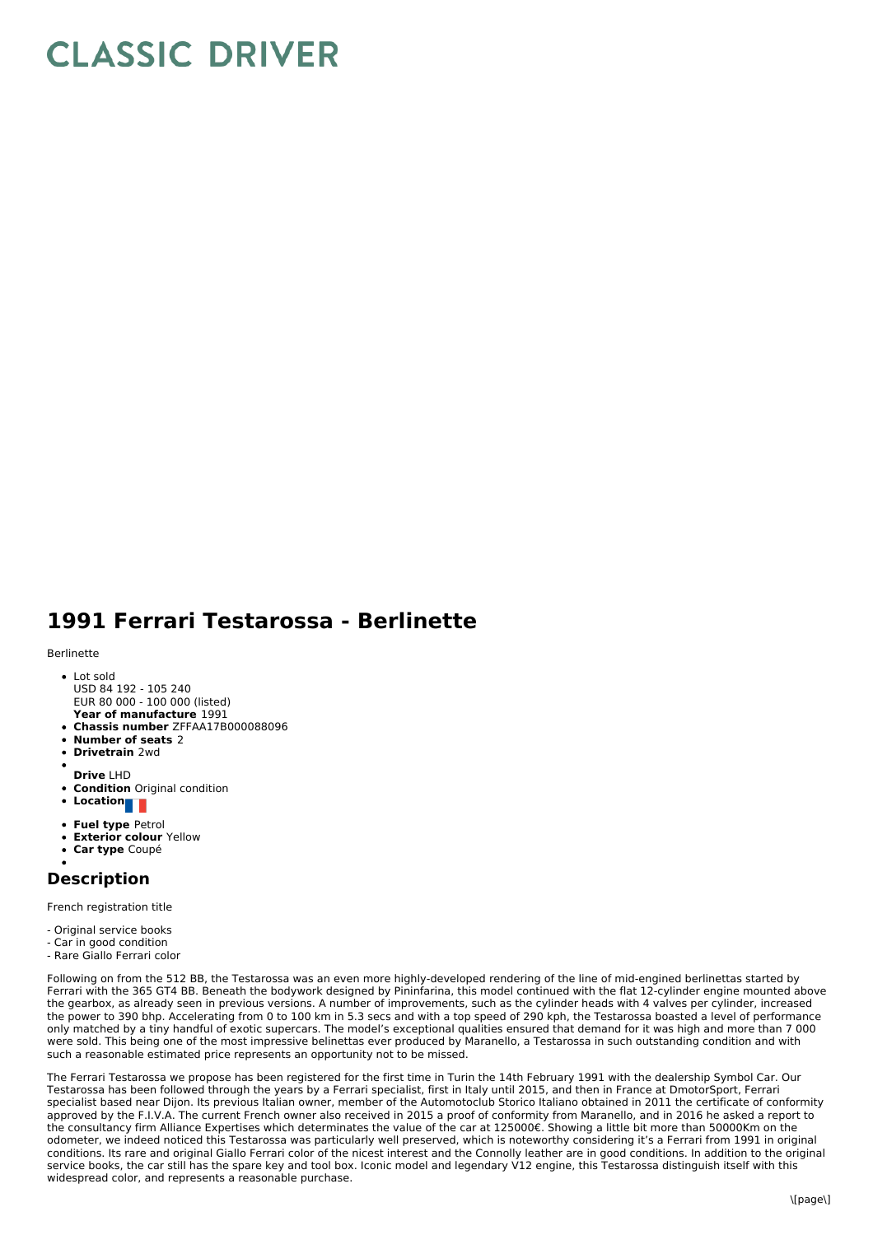## **CLASSIC DRIVER**

## **1991 Ferrari Testarossa - Berlinette**

## Berlinette

- Lot sold USD 84 192 - 105 240 EUR 80 000 - 100 000 (listed)
- **Year of manufacture** 1991
- **Chassis number** ZFFAA17B000088096
- **Number of seats** 2
- $\bullet$ **Drivetrain** 2wd
- **Drive** LHD
- **Condition** Original condition
- **Location**
- 
- **Fuel type** Petrol
- **Exterior colour** Yellow
- **Car type** Coupé

## **Description**

French registration title

- Original service books
- Car in good condition
- Rare Giallo Ferrari color

Following on from the 512 BB, the Testarossa was an even more highly-developed rendering of the line of mid-engined berlinettas started by Ferrari with the 365 GT4 BB. Beneath the bodywork designed by Pininfarina, this model continued with the flat 12-cylinder engine mounted above the gearbox, as already seen in previous versions. A number of improvements, such as the cylinder heads with 4 valves per cylinder, increased the power to 390 bhp. Accelerating from 0 to 100 km in 5.3 secs and with a top speed of 290 kph, the Testarossa boasted a level of performance only matched by a tiny handful of exotic supercars. The model's exceptional qualities ensured that demand for it was high and more than 7 000 were sold. This being one of the most impressive belinettas ever produced by Maranello, a Testarossa in such outstanding condition and with such a reasonable estimated price represents an opportunity not to be missed.

The Ferrari Testarossa we propose has been registered for the first time in Turin the 14th February 1991 with the dealership Symbol Car. Our Testarossa has been followed through the years by a Ferrari specialist, first in Italy until 2015, and then in France at DmotorSport, Ferrari specialist based near Dijon. Its previous Italian owner, member of the Automotoclub Storico Italiano obtained in 2011 the certificate of conformity approved by the F.I.V.A. The current French owner also received in 2015 a proof of conformity from Maranello, and in 2016 he asked a report to the consultancy firm Alliance Expertises which determinates the value of the car at 125000€. Showing a little bit more than 50000Km on the odometer, we indeed noticed this Testarossa was particularly well preserved, which is noteworthy considering it's a Ferrari from 1991 in original conditions. Its rare and original Giallo Ferrari color of the nicest interest and the Connolly leather are in good conditions. In addition to the original service books, the car still has the spare key and tool box. Iconic model and legendary V12 engine, this Testarossa distinguish itself with this widespread color, and represents a reasonable purchase.